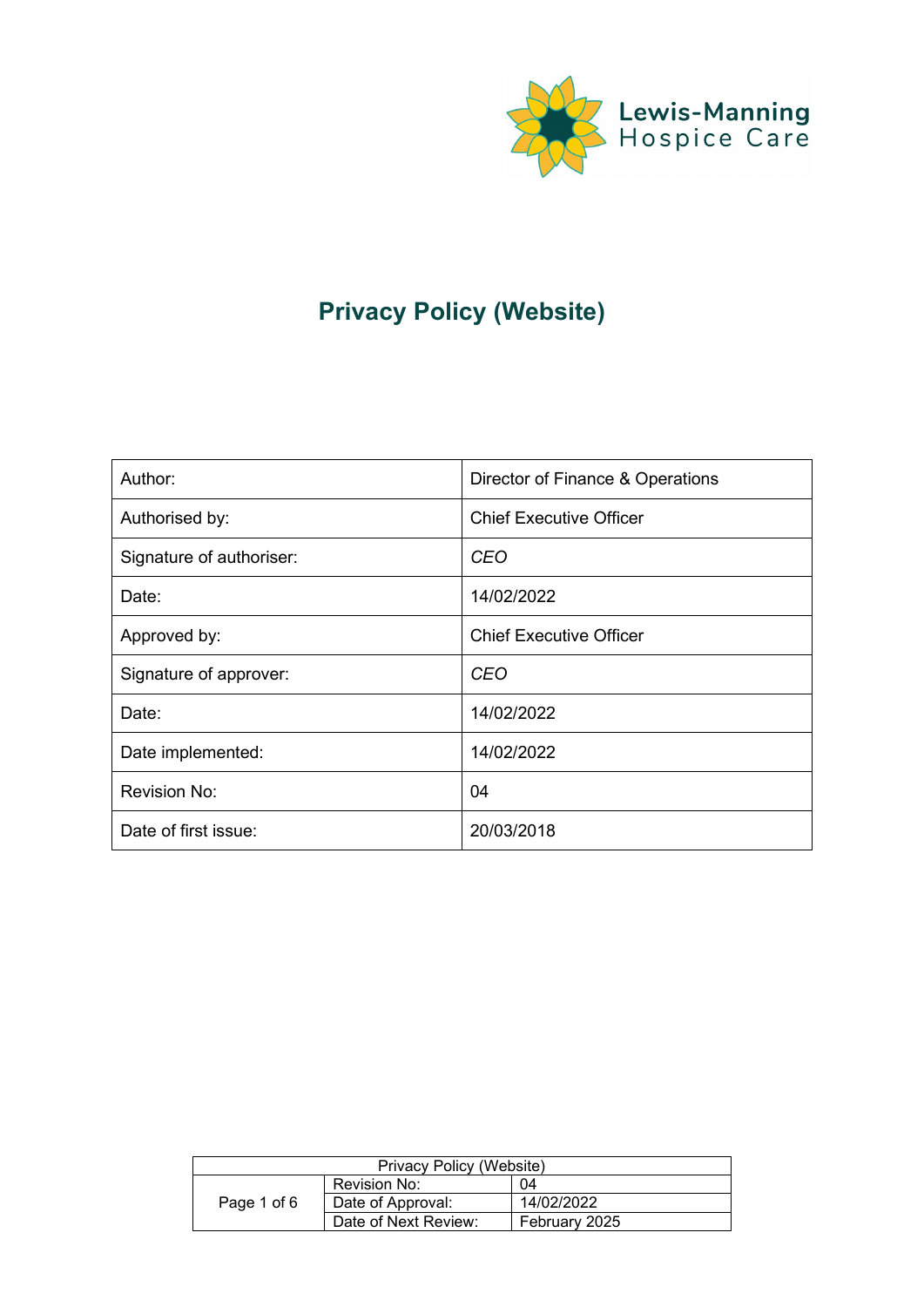

# **Privacy Policy (Website)**

| Author:                  | Director of Finance & Operations |
|--------------------------|----------------------------------|
| Authorised by:           | <b>Chief Executive Officer</b>   |
| Signature of authoriser: | <b>CEO</b>                       |
| Date:                    | 14/02/2022                       |
| Approved by:             | <b>Chief Executive Officer</b>   |
| Signature of approver:   | <b>CEO</b>                       |
| Date:                    | 14/02/2022                       |
| Date implemented:        | 14/02/2022                       |
| Revision No:             | 04                               |
| Date of first issue:     | 20/03/2018                       |

| Privacy Policy (Website) |                      |               |
|--------------------------|----------------------|---------------|
|                          | Revision No:         | 04            |
| Page 1 of 6              | Date of Approval:    | 14/02/2022    |
|                          | Date of Next Review: | February 2025 |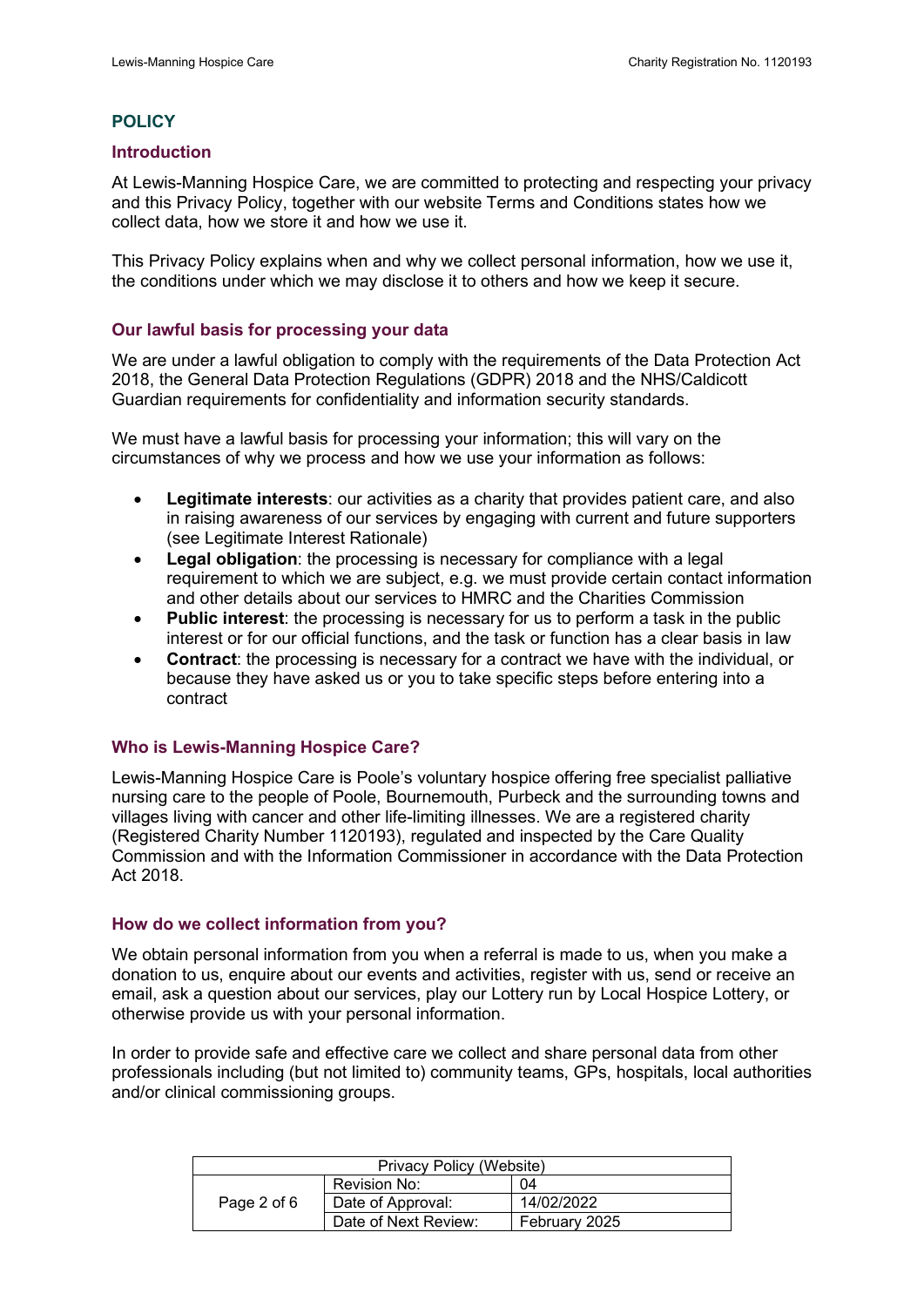# **POLICY**

#### **Introduction**

At Lewis-Manning Hospice Care, we are committed to protecting and respecting your privacy and this Privacy Policy, together with our website Terms and Conditions states how we collect data, how we store it and how we use it.

This Privacy Policy explains when and why we collect personal information, how we use it, the conditions under which we may disclose it to others and how we keep it secure.

## **Our lawful basis for processing your data**

We are under a lawful obligation to comply with the requirements of the Data Protection Act 2018, the General Data Protection Regulations (GDPR) 2018 and the NHS/Caldicott Guardian requirements for confidentiality and information security standards.

We must have a lawful basis for processing your information; this will vary on the circumstances of why we process and how we use your information as follows:

- **Legitimate interests**: our activities as a charity that provides patient care, and also in raising awareness of our services by engaging with current and future supporters (see Legitimate Interest Rationale)
- **Legal obligation**: the processing is necessary for compliance with a legal requirement to which we are subject, e.g. we must provide certain contact information and other details about our services to HMRC and the Charities Commission
- **Public interest**: the processing is necessary for us to perform a task in the public interest or for our official functions, and the task or function has a clear basis in law
- **Contract**: the processing is necessary for a contract we have with the individual, or because they have asked us or you to take specific steps before entering into a contract

## **Who is Lewis-Manning Hospice Care?**

Lewis-Manning Hospice Care is Poole's voluntary hospice offering free specialist palliative nursing care to the people of Poole, Bournemouth, Purbeck and the surrounding towns and villages living with cancer and other life-limiting illnesses. We are a registered charity (Registered Charity Number 1120193), regulated and inspected by the Care Quality Commission and with the Information Commissioner in accordance with the Data Protection Act 2018.

## **How do we collect information from you?**

We obtain personal information from you when a referral is made to us, when you make a donation to us, enquire about our events and activities, register with us, send or receive an email, ask a question about our services, play our Lottery run by Local Hospice Lottery, or otherwise provide us with your personal information.

In order to provide safe and effective care we collect and share personal data from other professionals including (but not limited to) community teams, GPs, hospitals, local authorities and/or clinical commissioning groups.

| Privacy Policy (Website) |                      |               |  |
|--------------------------|----------------------|---------------|--|
|                          | Revision No:         | 04            |  |
| Page 2 of 6              | Date of Approval:    | 14/02/2022    |  |
|                          | Date of Next Review: | February 2025 |  |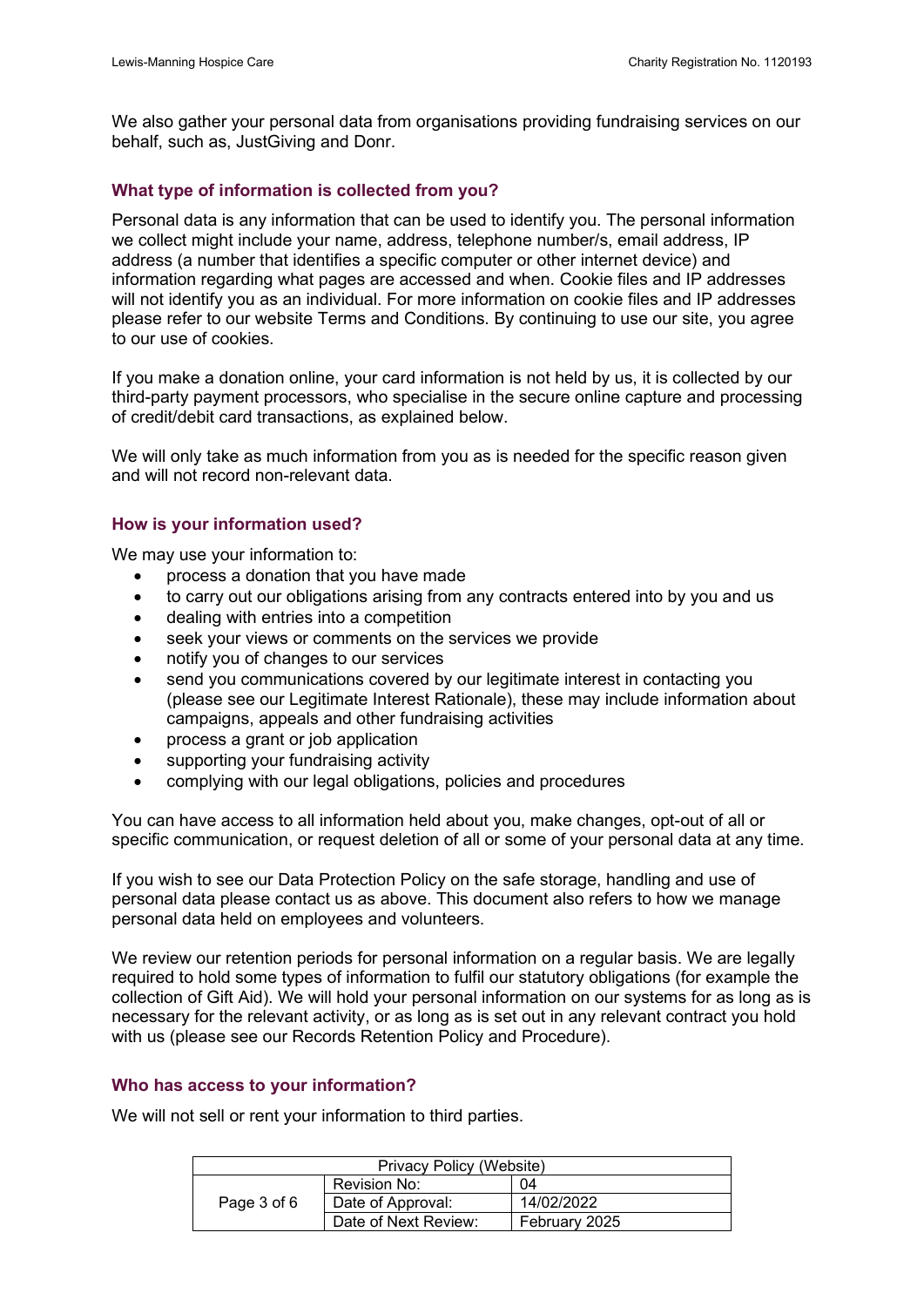We also gather your personal data from organisations providing fundraising services on our behalf, such as, JustGiving and Donr.

# **What type of information is collected from you?**

Personal data is any information that can be used to identify you. The personal information we collect might include your name, address, telephone number/s, email address, IP address (a number that identifies a specific computer or other internet device) and information regarding what pages are accessed and when. Cookie files and IP addresses will not identify you as an individual. For more information on cookie files and IP addresses please refer to our website Terms and Conditions. By continuing to use our site, you agree to our use of cookies.

If you make a donation online, your card information is not held by us, it is collected by our third-party payment processors, who specialise in the secure online capture and processing of credit/debit card transactions, as explained below.

We will only take as much information from you as is needed for the specific reason given and will not record non-relevant data.

# **How is your information used?**

We may use your information to:

- process a donation that you have made
- to carry out our obligations arising from any contracts entered into by you and us
- dealing with entries into a competition
- seek your views or comments on the services we provide
- notify you of changes to our services
- send you communications covered by our legitimate interest in contacting you (please see our Legitimate Interest Rationale), these may include information about campaigns, appeals and other fundraising activities
- process a grant or job application
- supporting your fundraising activity
- complying with our legal obligations, policies and procedures

You can have access to all information held about you, make changes, opt-out of all or specific communication, or request deletion of all or some of your personal data at any time.

If you wish to see our Data Protection Policy on the safe storage, handling and use of personal data please contact us as above. This document also refers to how we manage personal data held on employees and volunteers.

We review our retention periods for personal information on a regular basis. We are legally required to hold some types of information to fulfil our statutory obligations (for example the collection of Gift Aid). We will hold your personal information on our systems for as long as is necessary for the relevant activity, or as long as is set out in any relevant contract you hold with us (please see our Records Retention Policy and Procedure).

## **Who has access to your information?**

We will not sell or rent your information to third parties.

| Privacy Policy (Website) |                      |               |
|--------------------------|----------------------|---------------|
| Revision No:             |                      | 04            |
| Page 3 of 6              | Date of Approval:    | 14/02/2022    |
|                          | Date of Next Review: | February 2025 |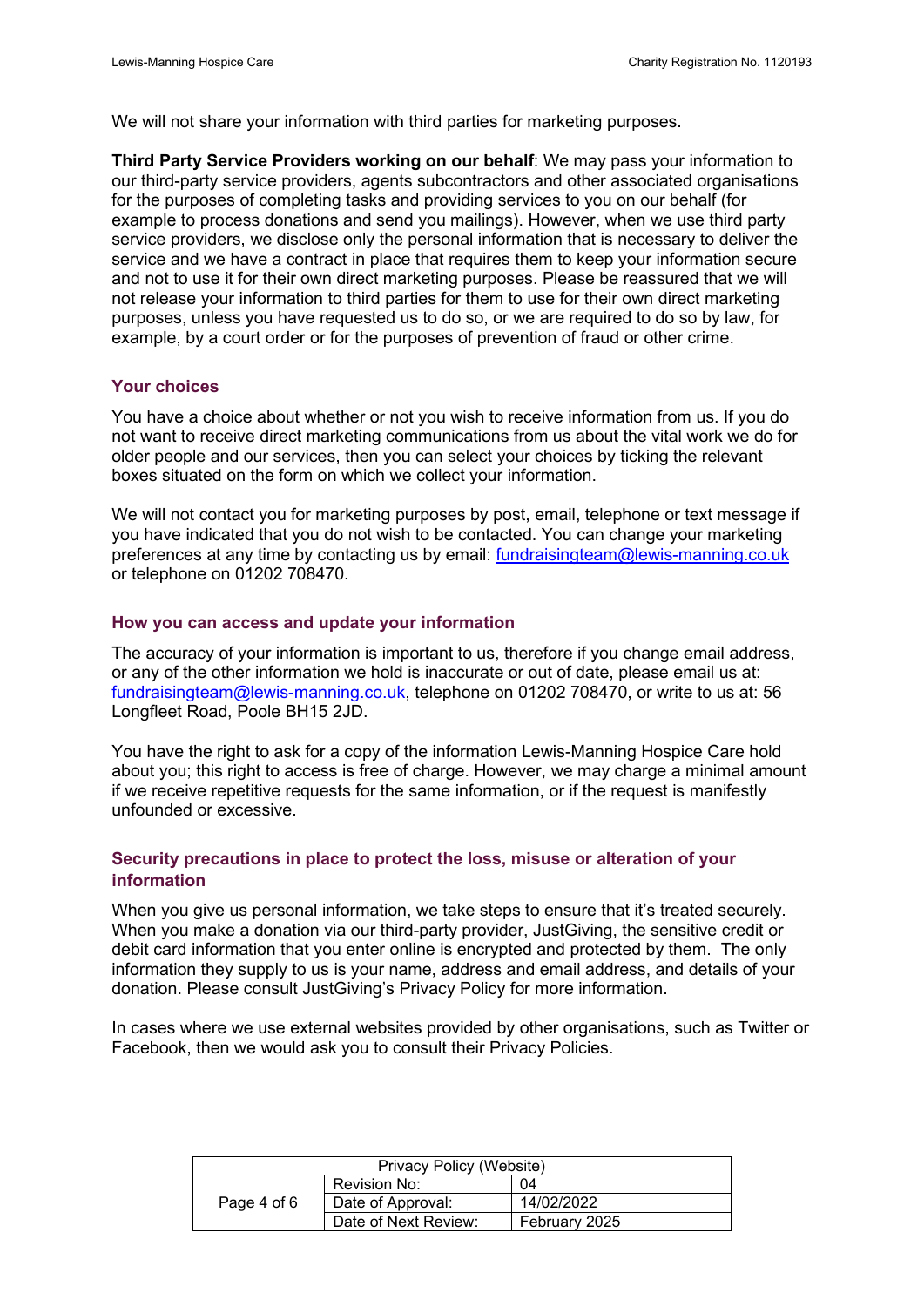We will not share your information with third parties for marketing purposes.

**Third Party Service Providers working on our behalf**: We may pass your information to our third-party service providers, agents subcontractors and other associated organisations for the purposes of completing tasks and providing services to you on our behalf (for example to process donations and send you mailings). However, when we use third party service providers, we disclose only the personal information that is necessary to deliver the service and we have a contract in place that requires them to keep your information secure and not to use it for their own direct marketing purposes. Please be reassured that we will not release your information to third parties for them to use for their own direct marketing purposes, unless you have requested us to do so, or we are required to do so by law, for example, by a court order or for the purposes of prevention of fraud or other crime.

## **Your choices**

You have a choice about whether or not you wish to receive information from us. If you do not want to receive direct marketing communications from us about the vital work we do for older people and our services, then you can select your choices by ticking the relevant boxes situated on the form on which we collect your information.

We will not contact you for marketing purposes by post, email, telephone or text message if you have indicated that you do not wish to be contacted. You can change your marketing preferences at any time by contacting us by email: [fundraisingteam@lewis-manning.co.uk](mailto:fundraisingteam@lewis-manning.co.uk)  or telephone on 01202 708470.

## **How you can access and update your information**

The accuracy of your information is important to us, therefore if you change email address, or any of the other information we hold is inaccurate or out of date, please email us at: [fundraisingteam@lewis-manning.co.uk,](mailto:fundraisingteam@lewis-manning.co.uk) telephone on 01202 708470, or write to us at: 56 Longfleet Road, Poole BH15 2JD.

You have the right to ask for a copy of the information Lewis-Manning Hospice Care hold about you; this right to access is free of charge. However, we may charge a minimal amount if we receive repetitive requests for the same information, or if the request is manifestly unfounded or excessive.

# **Security precautions in place to protect the loss, misuse or alteration of your information**

When you give us personal information, we take steps to ensure that it's treated securely. When you make a donation via our third-party provider, JustGiving, the sensitive credit or debit card information that you enter online is encrypted and protected by them. The only information they supply to us is your name, address and email address, and details of your donation. Please consult JustGiving's Privacy Policy for more information.

In cases where we use external websites provided by other organisations, such as Twitter or Facebook, then we would ask you to consult their Privacy Policies.

| Privacy Policy (Website) |                      |               |
|--------------------------|----------------------|---------------|
|                          | Revision No:         | ባ4            |
| Page 4 of 6              | Date of Approval:    | 14/02/2022    |
|                          | Date of Next Review: | February 2025 |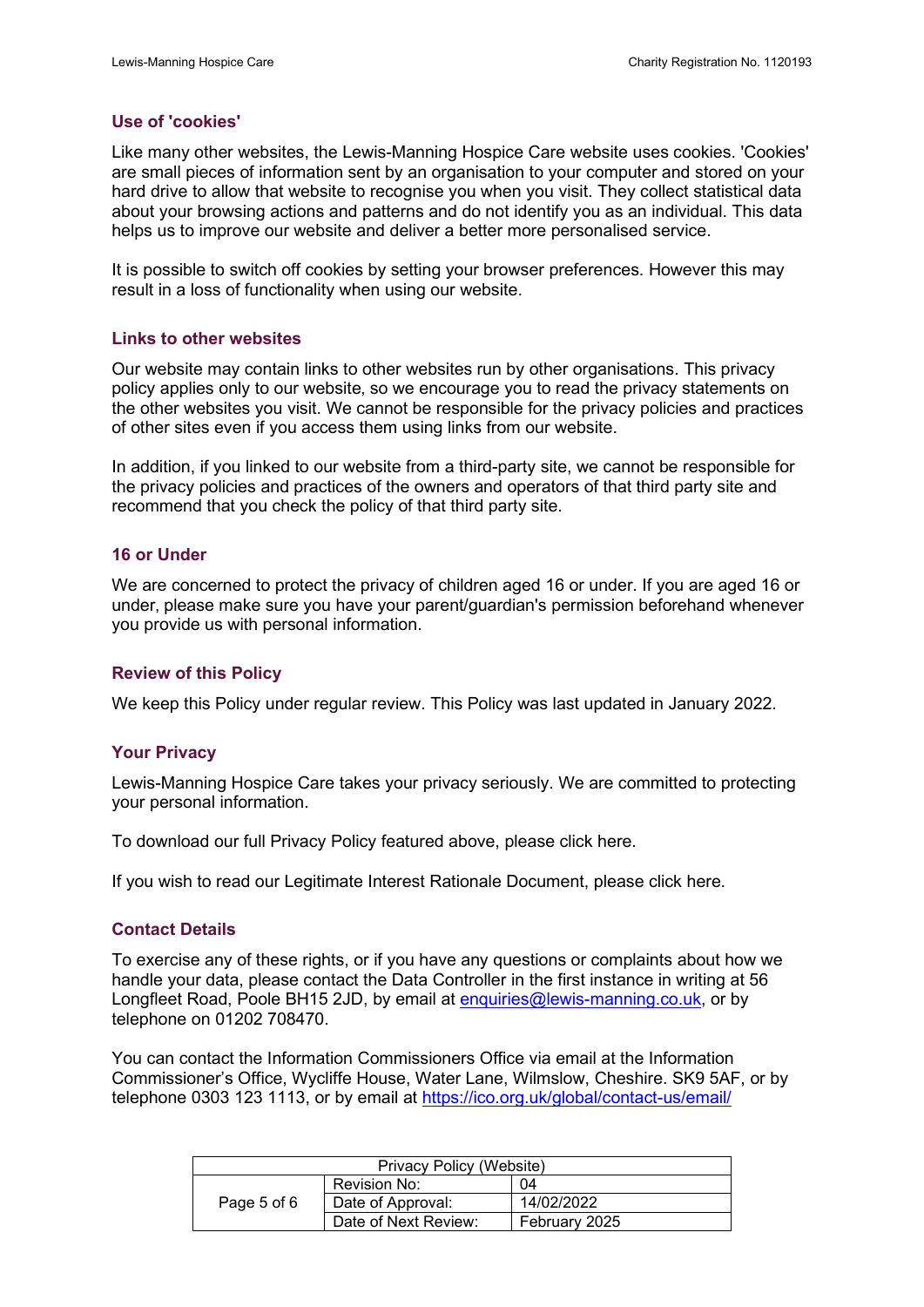## **Use of 'cookies'**

Like many other websites, the Lewis-Manning Hospice Care website uses cookies. 'Cookies' are small pieces of information sent by an organisation to your computer and stored on your hard drive to allow that website to recognise you when you visit. They collect statistical data about your browsing actions and patterns and do not identify you as an individual. This data helps us to improve our website and deliver a better more personalised service.

It is possible to switch off cookies by setting your browser preferences. However this may result in a loss of functionality when using our website.

## **Links to other websites**

Our website may contain links to other websites run by other organisations. This privacy policy applies only to our website, so we encourage you to read the privacy statements on the other websites you visit. We cannot be responsible for the privacy policies and practices of other sites even if you access them using links from our website.

In addition, if you linked to our website from a third-party site, we cannot be responsible for the privacy policies and practices of the owners and operators of that third party site and recommend that you check the policy of that third party site.

# **16 or Under**

We are concerned to protect the privacy of children aged 16 or under. If you are aged 16 or under, please make sure you have your parent/guardian's permission beforehand whenever you provide us with personal information.

## **Review of this Policy**

We keep this Policy under regular review. This Policy was last updated in January 2022.

## **Your Privacy**

Lewis-Manning Hospice Care takes your privacy seriously. We are committed to protecting your personal information.

To download our full Privacy Policy featured above, please click here.

If you wish to read our Legitimate Interest Rationale Document, please click here.

# **Contact Details**

To exercise any of these rights, or if you have any questions or complaints about how we handle your data, please contact the Data Controller in the first instance in writing at 56 Longfleet Road, Poole BH15 2JD, by email at [enquiries@lewis-manning.co.uk,](mailto:enquiries@lewis-manning.co.uk) or by telephone on 01202 708470.

You can contact the Information Commissioners Office via email at the Information Commissioner's Office, Wycliffe House, Water Lane, Wilmslow, Cheshire. SK9 5AF, or by telephone 0303 123 1113, or by email at<https://ico.org.uk/global/contact-us/email/>

| Privacy Policy (Website) |                      |               |
|--------------------------|----------------------|---------------|
|                          | Revision No:         | 04            |
| Page 5 of 6              | Date of Approval:    | 14/02/2022    |
|                          | Date of Next Review: | February 2025 |